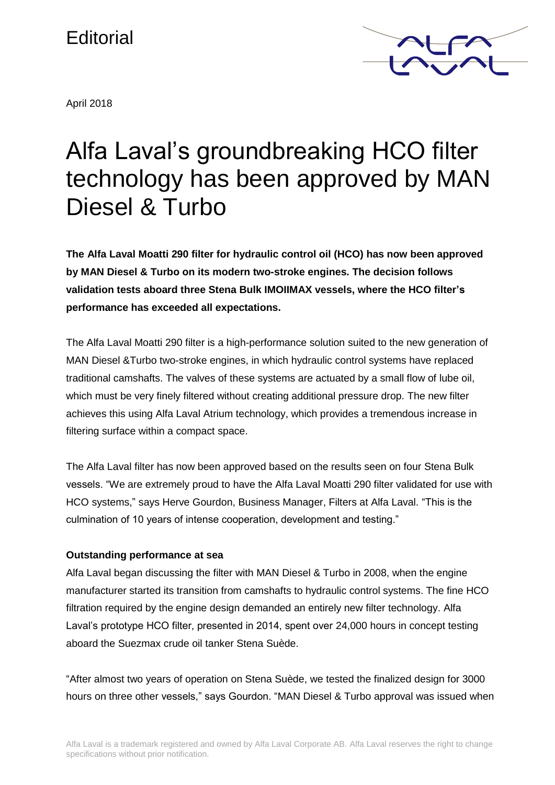## **Editorial**

April 2018



# Alfa Laval's groundbreaking HCO filter technology has been approved by MAN Diesel & Turbo

**The Alfa Laval Moatti 290 filter for hydraulic control oil (HCO) has now been approved by MAN Diesel & Turbo on its modern two-stroke engines. The decision follows validation tests aboard three Stena Bulk IMOIIMAX vessels, where the HCO filter's performance has exceeded all expectations.**

The Alfa Laval Moatti 290 filter is a high-performance solution suited to the new generation of MAN Diesel &Turbo two-stroke engines, in which hydraulic control systems have replaced traditional camshafts. The valves of these systems are actuated by a small flow of lube oil, which must be very finely filtered without creating additional pressure drop. The new filter achieves this using Alfa Laval Atrium technology, which provides a tremendous increase in filtering surface within a compact space.

The Alfa Laval filter has now been approved based on the results seen on four Stena Bulk vessels. "We are extremely proud to have the Alfa Laval Moatti 290 filter validated for use with HCO systems," says Herve Gourdon, Business Manager, Filters at Alfa Laval. "This is the culmination of 10 years of intense cooperation, development and testing."

### **Outstanding performance at sea**

Alfa Laval began discussing the filter with MAN Diesel & Turbo in 2008, when the engine manufacturer started its transition from camshafts to hydraulic control systems. The fine HCO filtration required by the engine design demanded an entirely new filter technology. Alfa Laval's prototype HCO filter, presented in 2014, spent over 24,000 hours in concept testing aboard the Suezmax crude oil tanker Stena Suède.

"After almost two years of operation on Stena Suède, we tested the finalized design for 3000 hours on three other vessels," says Gourdon. "MAN Diesel & Turbo approval was issued when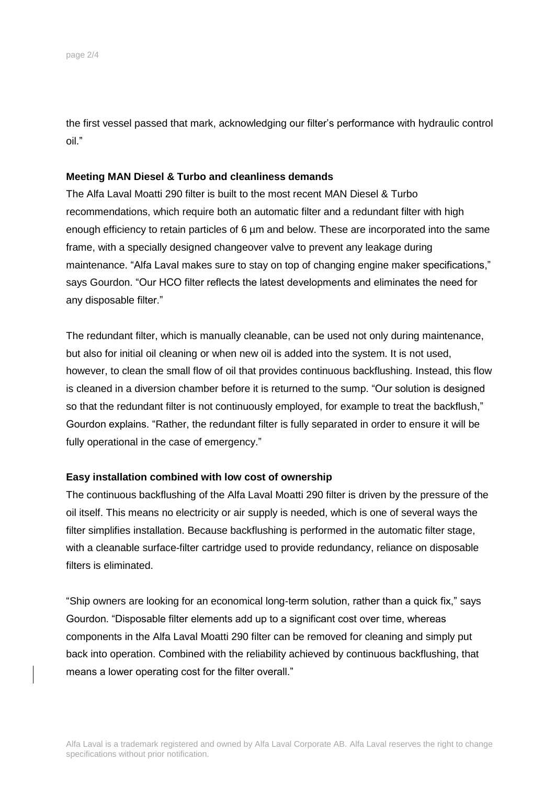the first vessel passed that mark, acknowledging our filter's performance with hydraulic control oil."

#### **Meeting MAN Diesel & Turbo and cleanliness demands**

The Alfa Laval Moatti 290 filter is built to the most recent MAN Diesel & Turbo recommendations, which require both an automatic filter and a redundant filter with high enough efficiency to retain particles of 6 um and below. These are incorporated into the same frame, with a specially designed changeover valve to prevent any leakage during maintenance. "Alfa Laval makes sure to stay on top of changing engine maker specifications," says Gourdon. "Our HCO filter reflects the latest developments and eliminates the need for any disposable filter."

The redundant filter, which is manually cleanable, can be used not only during maintenance, but also for initial oil cleaning or when new oil is added into the system. It is not used, however, to clean the small flow of oil that provides continuous backflushing. Instead, this flow is cleaned in a diversion chamber before it is returned to the sump. "Our solution is designed so that the redundant filter is not continuously employed, for example to treat the backflush," Gourdon explains. "Rather, the redundant filter is fully separated in order to ensure it will be fully operational in the case of emergency."

#### **Easy installation combined with low cost of ownership**

The continuous backflushing of the Alfa Laval Moatti 290 filter is driven by the pressure of the oil itself. This means no electricity or air supply is needed, which is one of several ways the filter simplifies installation. Because backflushing is performed in the automatic filter stage, with a cleanable surface-filter cartridge used to provide redundancy, reliance on disposable filters is eliminated.

"Ship owners are looking for an economical long-term solution, rather than a quick fix," says Gourdon. "Disposable filter elements add up to a significant cost over time, whereas components in the Alfa Laval Moatti 290 filter can be removed for cleaning and simply put back into operation. Combined with the reliability achieved by continuous backflushing, that means a lower operating cost for the filter overall."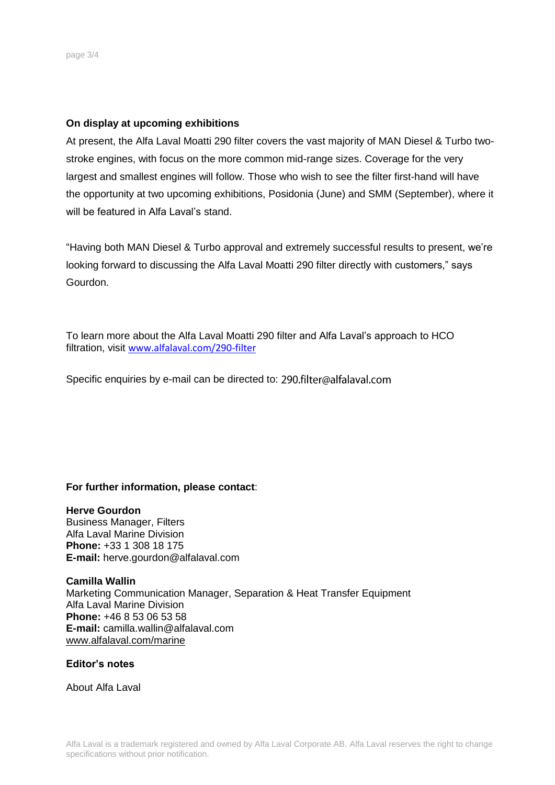#### **On display at upcoming exhibitions**

At present, the Alfa Laval Moatti 290 filter covers the vast majority of MAN Diesel & Turbo twostroke engines, with focus on the more common mid-range sizes. Coverage for the very largest and smallest engines will follow. Those who wish to see the filter first-hand will have the opportunity at two upcoming exhibitions, Posidonia (June) and SMM (September), where it will be featured in Alfa Laval's stand.

"Having both MAN Diesel & Turbo approval and extremely successful results to present, we're looking forward to discussing the Alfa Laval Moatti 290 filter directly with customers," says Gourdon.

To learn more about the Alfa Laval Moatti 290 filter and Alfa Laval's approach to HCO filtration, visit [www.alfalaval.com/290-filter](http://www.alfalaval.com/290-filter)

Specificenquiries by e-mail can be directed to: 290.filter@alfalaval.com

**For further information, please contact**:

#### **Herve Gourdon**

Business Manager, Filters Alfa Laval Marine Division **Phone:** +33 1 308 18 175 **E-mail:** herve.gourdon@alfalaval.com

**Camilla Wallin** Marketing Communication Manager, Separation & Heat Transfer Equipment Alfa Laval Marine Division **Phone:** +46 8 53 06 53 58 **E-mail:** camilla.wallin@alfalaval.com [www.alfalaval.com/marine](file:///C:/Documents%20and%20Settings/SETUASA/My%20Documents/Alfa%20Laval/MMD/Products/PureSOx/Press%20release/2012-02-03/www.alfalaval.com/marine)

**Editor's notes**

About Alfa Laval